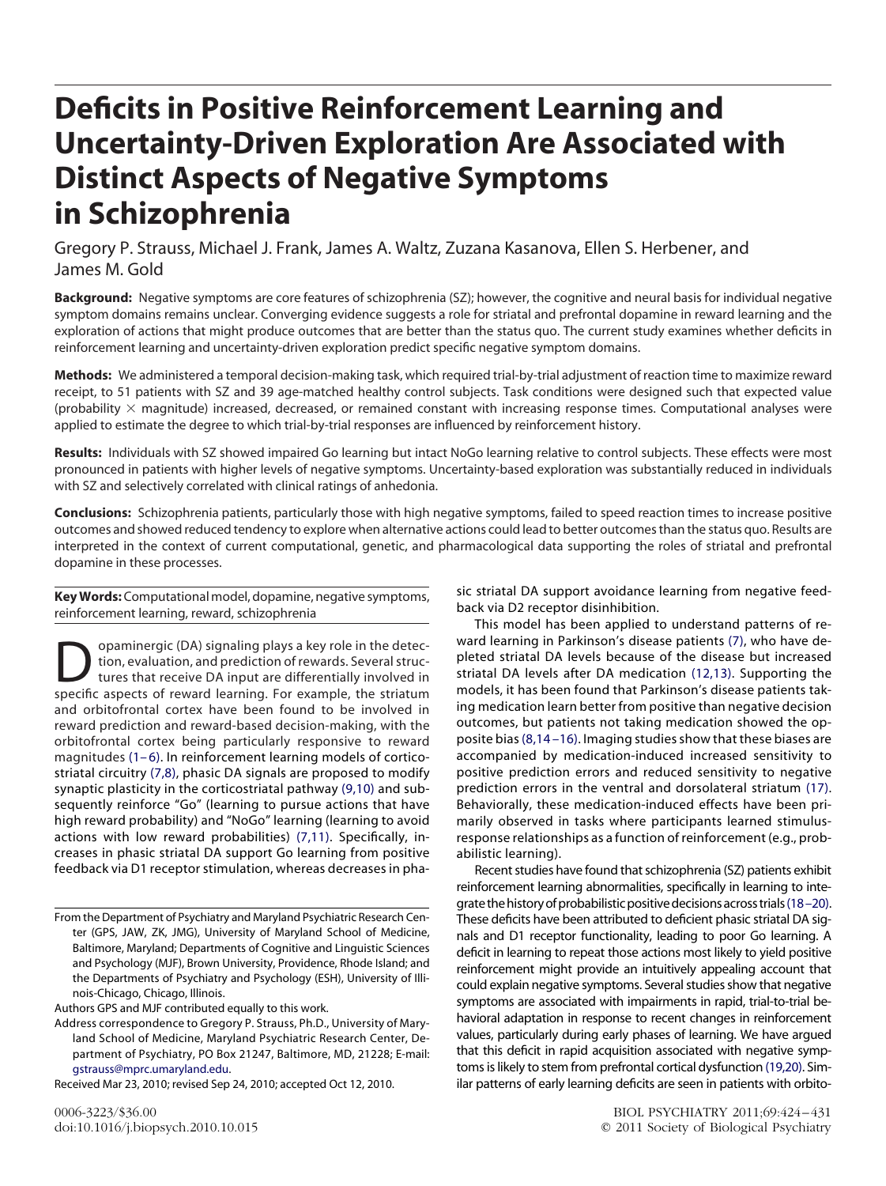# **Deficits in Positive Reinforcement Learning and Uncertainty-Driven Exploration Are Associated with Distinct Aspects of Negative Symptoms in Schizophrenia**

Gregory P. Strauss, Michael J. Frank, James A. Waltz, Zuzana Kasanova, Ellen S. Herbener, and James M. Gold

Background: Negative symptoms are core features of schizophrenia (SZ); however, the cognitive and neural basis for individual negative symptom domains remains unclear. Converging evidence suggests a role for striatal and prefrontal dopamine in reward learning and the exploration of actions that might produce outcomes that are better than the status quo. The current study examines whether deficits in reinforcement learning and uncertainty-driven exploration predict specific negative symptom domains.

**Methods:** We administered a temporal decision-making task, which required trial-by-trial adjustment of reaction time to maximize reward receipt, to 51 patients with SZ and 39 age-matched healthy control subjects. Task conditions were designed such that expected value (probability  $\times$  magnitude) increased, decreased, or remained constant with increasing response times. Computational analyses were applied to estimate the degree to which trial-by-trial responses are influenced by reinforcement history.

**Results:** Individuals with SZ showed impaired Go learning but intact NoGo learning relative to control subjects. These effects were most pronounced in patients with higher levels of negative symptoms. Uncertainty-based exploration was substantially reduced in individuals with SZ and selectively correlated with clinical ratings of anhedonia.

**Conclusions:** Schizophrenia patients, particularly those with high negative symptoms, failed to speed reaction times to increase positive outcomes and showed reduced tendency to explore when alternative actions could lead to better outcomes than the status quo. Results are interpreted in the context of current computational, genetic, and pharmacological data supporting the roles of striatal and prefrontal dopamine in these processes.

**KeyWords:**Computational model, dopamine, negative symptoms, reinforcement learning, reward, schizophrenia

opaminergic (DA) signaling plays a key role in the detection, evaluation, and prediction of rewards. Several structures that receive DA input are differentially involved in specific aspects of reward learning. For example, the striatum and orbitofrontal cortex have been found to be involved in reward prediction and reward-based decision-making, with the orbitofrontal cortex being particularly responsive to reward magnitudes (1-6). In reinforcement learning models of corticostriatal circuitry [\(7,8\),](#page-7-0) phasic DA signals are proposed to modify synaptic plasticity in the corticostriatal pathway [\(9,10\)](#page-7-0) and subsequently reinforce "Go" (learning to pursue actions that have high reward probability) and "NoGo" learning (learning to avoid actions with low reward probabilities) [\(7,11\).](#page-7-0) Specifically, increases in phasic striatal DA support Go learning from positive feedback via D1 receptor stimulation, whereas decreases in pha-

Authors GPS and MJF contributed equally to this work.

Address correspondence to Gregory P. Strauss, Ph.D., University of Maryland School of Medicine, Maryland Psychiatric Research Center, Department of Psychiatry, PO Box 21247, Baltimore, MD, 21228; E-mail: [gstrauss@mprc.umaryland.edu.](mailto:gstrauss@mprc.umaryland.edu)

Received Mar 23, 2010; revised Sep 24, 2010; accepted Oct 12, 2010.

sic striatal DA support avoidance learning from negative feedback via D2 receptor disinhibition.

This model has been applied to understand patterns of reward learning in Parkinson's disease patients [\(7\),](#page-7-0) who have depleted striatal DA levels because of the disease but increased striatal DA levels after DA medication [\(12,13\).](#page-7-0) Supporting the models, it has been found that Parkinson's disease patients taking medication learn better from positive than negative decision outcomes, but patients not taking medication showed the opposite bias[\(8,14 –16\).](#page-7-0) Imaging studies show that these biases are accompanied by medication-induced increased sensitivity to positive prediction errors and reduced sensitivity to negative prediction errors in the ventral and dorsolateral striatum [\(17\).](#page-7-0) Behaviorally, these medication-induced effects have been primarily observed in tasks where participants learned stimulusresponse relationships as a function of reinforcement (e.g., probabilistic learning).

Recent studies have found that schizophrenia (SZ) patients exhibit reinforcement learning abnormalities, specifically in learning to integrate the history of probabilistic positive decisions across trials (18 -20). These deficits have been attributed to deficient phasic striatal DA signals and D1 receptor functionality, leading to poor Go learning. A deficit in learning to repeat those actions most likely to yield positive reinforcement might provide an intuitively appealing account that could explain negative symptoms. Several studies show that negative symptoms are associated with impairments in rapid, trial-to-trial behavioral adaptation in response to recent changes in reinforcement values, particularly during early phases of learning. We have argued that this deficit in rapid acquisition associated with negative symptoms is likely to stem from prefrontal cortical dysfunction [\(19,20\).](#page-7-0) Similar patterns of early learning deficits are seen in patients with orbito-

From the Department of Psychiatry and Maryland Psychiatric Research Center (GPS, JAW, ZK, JMG), University of Maryland School of Medicine, Baltimore, Maryland; Departments of Cognitive and Linguistic Sciences and Psychology (MJF), Brown University, Providence, Rhode Island; and the Departments of Psychiatry and Psychology (ESH), University of Illinois-Chicago, Chicago, Illinois.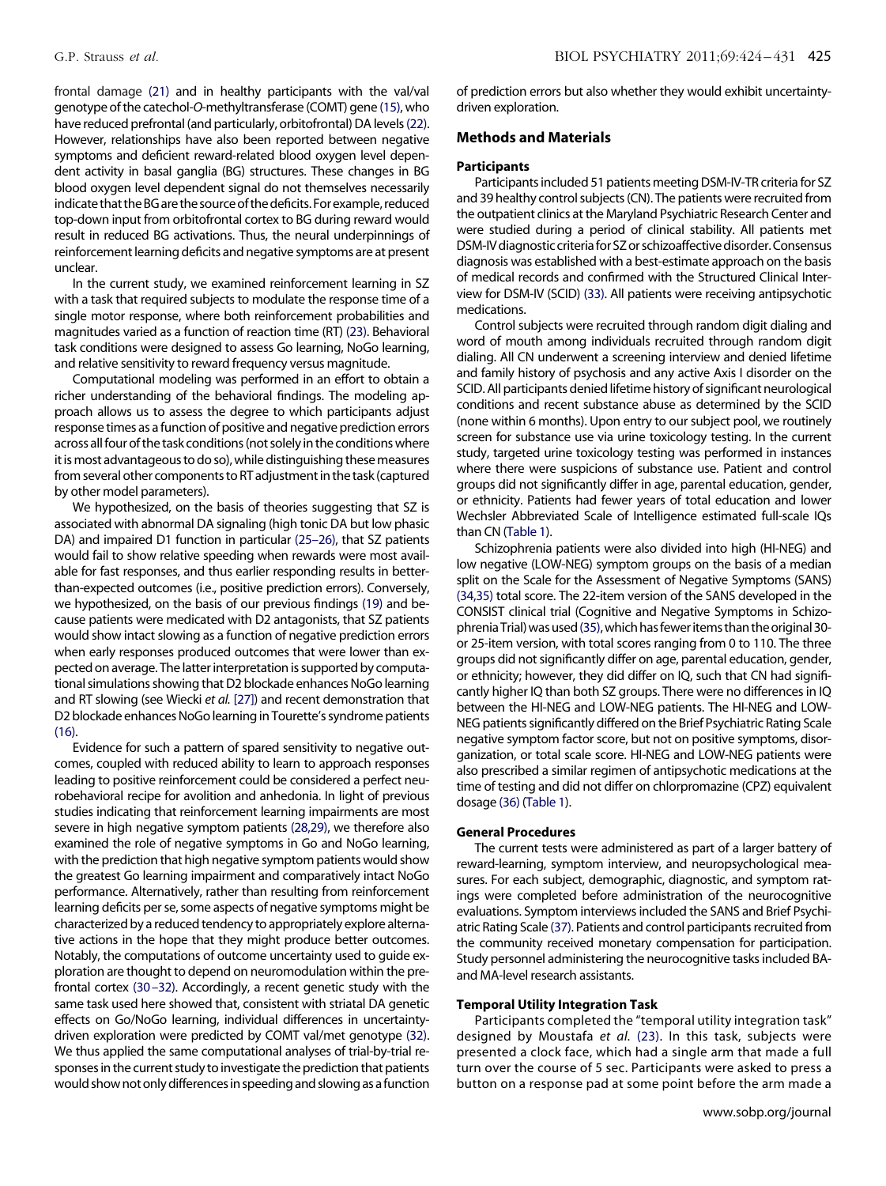frontal damage [\(21\)](#page-7-0) and in healthy participants with the val/val genotype of the catechol-*O*-methyltransferase (COMT) gene [\(15\),](#page-7-0) who have reduced prefrontal (and particularly, orbitofrontal) DA levels (22). However, relationships have also been reported between negative symptoms and deficient reward-related blood oxygen level dependent activity in basal ganglia (BG) structures. These changes in BG blood oxygen level dependent signal do not themselves necessarily indicate that the BG are the source of the deficits. For example, reduced top-down input from orbitofrontal cortex to BG during reward would result in reduced BG activations. Thus, the neural underpinnings of reinforcement learning deficits and negative symptoms are at present unclear.

In the current study, we examined reinforcement learning in SZ with a task that required subjects to modulate the response time of a single motor response, where both reinforcement probabilities and magnitudes varied as a function of reaction time (RT) [\(23\).](#page-7-0) Behavioral task conditions were designed to assess Go learning, NoGo learning, and relative sensitivity to reward frequency versus magnitude.

Computational modeling was performed in an effort to obtain a richer understanding of the behavioral findings. The modeling approach allows us to assess the degree to which participants adjust response times as afunction of positive and negative prediction errors across all four of the task conditions (not solely in the conditions where it ismost advantageous to do so), while distinguishing thesemeasures from several other components to RT adjustment in the task(captured by other model parameters).

We hypothesized, on the basis of theories suggesting that SZ is associated with abnormal DA signaling (high tonic DA but low phasic DA) and impaired D1 function in particular [\(25–26\),](#page-7-0) that SZ patients would fail to show relative speeding when rewards were most available for fast responses, and thus earlier responding results in betterthan-expected outcomes (i.e., positive prediction errors). Conversely, we hypothesized, on the basis of our previous findings [\(19\)](#page-7-0) and because patients were medicated with D2 antagonists, that SZ patients would show intact slowing as a function of negative prediction errors when early responses produced outcomes that were lower than expected on average. The latter interpretation is supported by computational simulations showing that D2 blockade enhances NoGo learning and RT slowing (see Wiecki *et al.* [\[27\]\)](#page-7-0) and recent demonstration that D2 blockade enhances NoGo learning in Tourette's syndrome patients [\(16\).](#page-7-0)

Evidence for such a pattern of spared sensitivity to negative outcomes, coupled with reduced ability to learn to approach responses leading to positive reinforcement could be considered a perfect neurobehavioral recipe for avolition and anhedonia. In light of previous studies indicating that reinforcement learning impairments are most severe in high negative symptom patients [\(28,29\),](#page-7-0) we therefore also examined the role of negative symptoms in Go and NoGo learning, with the prediction that high negative symptom patients would show the greatest Go learning impairment and comparatively intact NoGo performance. Alternatively, rather than resulting from reinforcement learning deficits per se, some aspects of negative symptoms might be characterized by a reduced tendency to appropriately explore alternative actions in the hope that they might produce better outcomes. Notably, the computations of outcome uncertainty used to guide exploration are thought to depend on neuromodulation within the prefrontal cortex [\(30 –32\).](#page-7-0) Accordingly, a recent genetic study with the same task used here showed that, consistent with striatal DA genetic effects on Go/NoGo learning, individual differences in uncertaintydriven exploration were predicted by COMT val/met genotype [\(32\).](#page-7-0) We thus applied the same computational analyses of trial-by-trial responses in the current study to investigate the prediction that patients would show not only differences in speeding and slowing as a function

of prediction errors but also whether they would exhibit uncertaintydriven exploration.

# **Methods and Materials**

# **Participants**

Participants included 51 patients meeting DSM-IV-TR criteria for SZ and 39 healthy control subjects (CN). The patients were recruited from the outpatient clinics at the Maryland Psychiatric Research Center and were studied during a period of clinical stability. All patients met DSM-IV diagnostic criteria for SZ or schizoaffective disorder. Consensus diagnosis was established with a best-estimate approach on the basis of medical records and confirmed with the Structured Clinical Interview for DSM-IV (SCID) [\(33\).](#page-7-0) All patients were receiving antipsychotic medications.

Control subjects were recruited through random digit dialing and word of mouth among individuals recruited through random digit dialing. All CN underwent a screening interview and denied lifetime and family history of psychosis and any active Axis I disorder on the SCID. All participants denied lifetime history of significant neurological conditions and recent substance abuse as determined by the SCID (none within 6 months). Upon entry to our subject pool, we routinely screen for substance use via urine toxicology testing. In the current study, targeted urine toxicology testing was performed in instances where there were suspicions of substance use. Patient and control groups did not significantly differ in age, parental education, gender, or ethnicity. Patients had fewer years of total education and lower Wechsler Abbreviated Scale of Intelligence estimated full-scale IQs than CN [\(Table 1\)](#page-2-0).

Schizophrenia patients were also divided into high (HI-NEG) and low negative (LOW-NEG) symptom groups on the basis of a median split on the Scale for the Assessment of Negative Symptoms (SANS) [\(34,35\)](#page-7-0) total score. The 22-item version of the SANS developed in the CONSIST clinical trial (Cognitive and Negative Symptoms in Schizo-phrenia Trial) was used [\(35\),](#page-7-0) which has fewer items than the original 30or 25-item version, with total scores ranging from 0 to 110. The three groups did not significantly differ on age, parental education, gender, or ethnicity; however, they did differ on IQ, such that CN had significantly higher IQ than both SZ groups. There were no differences in IQ between the HI-NEG and LOW-NEG patients. The HI-NEG and LOW-NEG patients significantly differed on the Brief Psychiatric Rating Scale negative symptom factor score, but not on positive symptoms, disorganization, or total scale score. HI-NEG and LOW-NEG patients were also prescribed a similar regimen of antipsychotic medications at the time of testing and did not differ on chlorpromazine (CPZ) equivalent dosage [\(36\)](#page-7-0) [\(Table 1\)](#page-2-0).

# **General Procedures**

The current tests were administered as part of a larger battery of reward-learning, symptom interview, and neuropsychological measures. For each subject, demographic, diagnostic, and symptom ratings were completed before administration of the neurocognitive evaluations. Symptom interviews included the SANS and Brief Psychiatric Rating Scale [\(37\).](#page-7-0) Patients and control participants recruited from the community received monetary compensation for participation. Study personnel administering the neurocognitive tasks included BAand MA-level research assistants.

#### **Temporal Utility Integration Task**

Participants completed the "temporal utility integration task" designed by Moustafa *et al.* [\(23\).](#page-7-0) In this task, subjects were presented a clock face, which had a single arm that made a full turn over the course of 5 sec. Participants were asked to press a button on a response pad at some point before the arm made a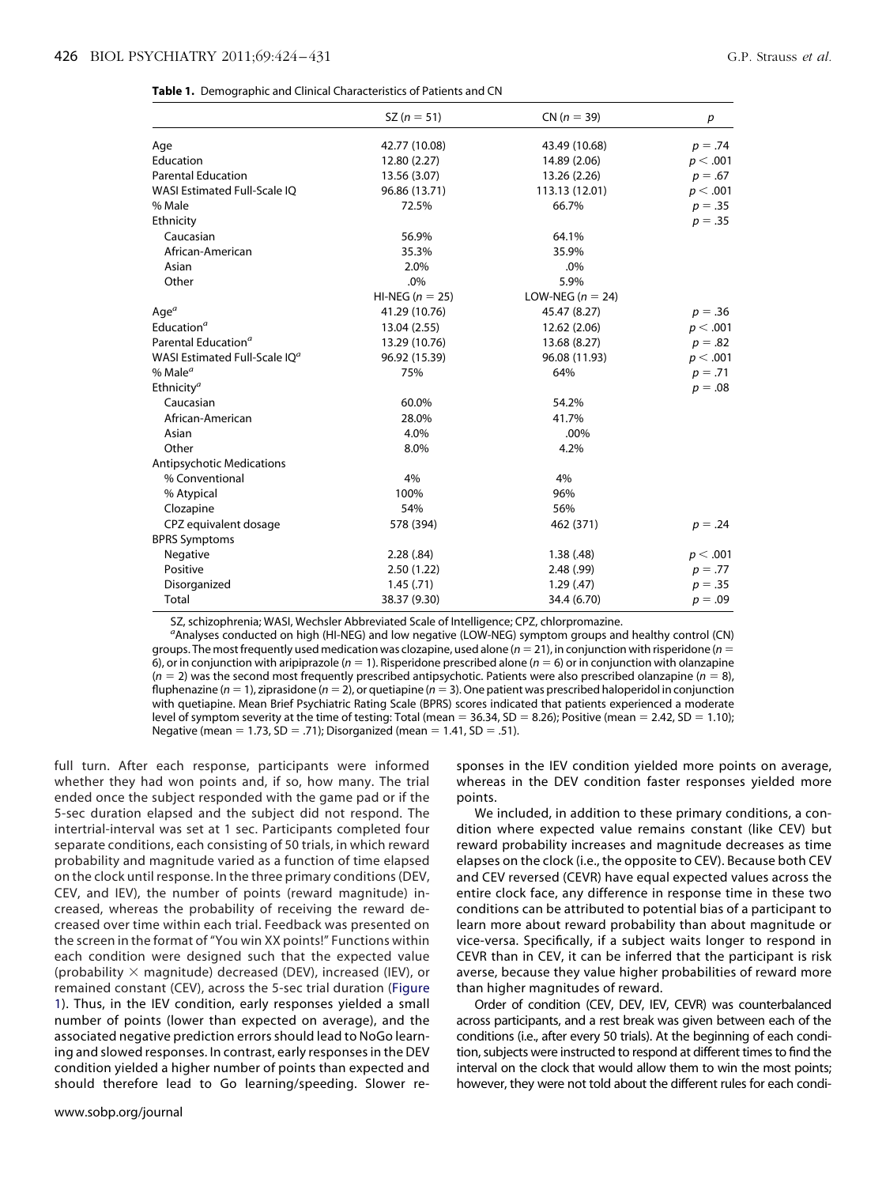<span id="page-2-0"></span>

| Table 1. Demographic and Clinical Characteristics of Patients and CN |  |
|----------------------------------------------------------------------|--|
|----------------------------------------------------------------------|--|

|                                           | $SZ (n = 51)$     | $CN (n = 39)$           | p         |  |
|-------------------------------------------|-------------------|-------------------------|-----------|--|
| Age                                       | 42.77 (10.08)     | 43.49 (10.68)           | $p = .74$ |  |
| Education                                 | 12.80 (2.27)      | 14.89 (2.06)            | p < .001  |  |
| <b>Parental Education</b>                 | 13.56 (3.07)      | 13.26 (2.26)            | $p = .67$ |  |
| WASI Estimated Full-Scale IO              | 96.86 (13.71)     | 113.13 (12.01)          | p < .001  |  |
| % Male                                    | 72.5%             | 66.7%                   | $p = .35$ |  |
| Ethnicity                                 |                   |                         | $p = .35$ |  |
| Caucasian                                 | 56.9%             | 64.1%                   |           |  |
| African-American                          | 35.3%             | 35.9%                   |           |  |
| Asian                                     | 2.0%              | .0%                     |           |  |
| Other                                     | .0%               | 5.9%                    |           |  |
|                                           | HI-NEG $(n = 25)$ | LOW-NEG ( $n = 24$ )    |           |  |
| Age $\sigma$                              | 41.29 (10.76)     | 45.47 (8.27)            | $p = .36$ |  |
| Education <sup><math>a</math></sup>       | 13.04 (2.55)      | 12.62 (2.06)            | p < .001  |  |
| Parental Education <sup>a</sup>           | 13.29 (10.76)     | 13.68 (8.27)            | $p = .82$ |  |
| WASI Estimated Full-Scale IO <sup>a</sup> | 96.92 (15.39)     | 96.08 (11.93)           |           |  |
| % Male <sup><math>a</math></sup>          | 75%               | 64%                     | $p = .71$ |  |
| Ethnicity <sup>a</sup>                    |                   |                         | $p = .08$ |  |
| Caucasian                                 | 60.0%             | 54.2%                   |           |  |
| African-American                          | 28.0%             | 41.7%                   |           |  |
| Asian                                     | 4.0%              | $.00\%$                 |           |  |
| Other                                     | 8.0%<br>4.2%      |                         |           |  |
| <b>Antipsychotic Medications</b>          |                   |                         |           |  |
| % Conventional                            | 4%                | 4%                      |           |  |
| % Atypical                                | 100%              | 96%                     |           |  |
| Clozapine                                 | 54%               | 56%                     |           |  |
| CPZ equivalent dosage                     | 578 (394)         | 462 (371)               | $p = .24$ |  |
| <b>BPRS Symptoms</b>                      |                   |                         |           |  |
| Negative                                  | 2.28(.84)         | 1.38(0.48)              | p < .001  |  |
| Positive                                  | 2.50(1.22)        | 2.48 (.99)              | $p = .77$ |  |
| Disorganized                              | 1.45(.71)         | 1.29(0.47)<br>$p = .35$ |           |  |
| Total                                     | 38.37 (9.30)      | 34.4 (6.70)             | $p = .09$ |  |

SZ, schizophrenia; WASI, Wechsler Abbreviated Scale of Intelligence; CPZ, chlorpromazine.

*a* Analyses conducted on high (HI-NEG) and low negative (LOW-NEG) symptom groups and healthy control (CN) groups. The most frequently used medication was clozapine, used alone ( $n=21$ ), in conjunction with risperidone ( $n=$ 6), or in conjunction with aripiprazole ( $n = 1$ ). Risperidone prescribed alone ( $n = 6$ ) or in conjunction with olanzapine  $(n = 2)$  was the second most frequently prescribed antipsychotic. Patients were also prescribed olanzapine ( $n = 8$ ), fluphenazine ( $n=1$ ), ziprasidone ( $n=2$ ), or quetiapine ( $n=3$ ). One patient was prescribed haloperidol in conjunction with quetiapine. Mean Brief Psychiatric Rating Scale (BPRS) scores indicated that patients experienced a moderate level of symptom severity at the time of testing: Total (mean = 36.34, SD = 8.26); Positive (mean = 2.42, SD = 1.10); Negative (mean = 1.73, SD = .71); Disorganized (mean = 1.41, SD = .51).

full turn. After each response, participants were informed whether they had won points and, if so, how many. The trial ended once the subject responded with the game pad or if the 5-sec duration elapsed and the subject did not respond. The intertrial-interval was set at 1 sec. Participants completed four separate conditions, each consisting of 50 trials, in which reward probability and magnitude varied as a function of time elapsed on the clock until response. In the three primary conditions (DEV, CEV, and IEV), the number of points (reward magnitude) increased, whereas the probability of receiving the reward decreased over time within each trial. Feedback was presented on the screen in the format of "You win XX points!" Functions within each condition were designed such that the expected value (probability  $\times$  magnitude) decreased (DEV), increased (IEV), or remained constant (CEV), across the 5-sec trial duration [\(Figure](#page-3-0) [1\)](#page-3-0). Thus, in the IEV condition, early responses yielded a small number of points (lower than expected on average), and the associated negative prediction errors should lead to NoGo learning and slowed responses. In contrast, early responses in the DEV condition yielded a higher number of points than expected and should therefore lead to Go learning/speeding. Slower re-

sponses in the IEV condition yielded more points on average, whereas in the DEV condition faster responses yielded more points.

We included, in addition to these primary conditions, a condition where expected value remains constant (like CEV) but reward probability increases and magnitude decreases as time elapses on the clock (i.e., the opposite to CEV). Because both CEV and CEV reversed (CEVR) have equal expected values across the entire clock face, any difference in response time in these two conditions can be attributed to potential bias of a participant to learn more about reward probability than about magnitude or vice-versa. Specifically, if a subject waits longer to respond in CEVR than in CEV, it can be inferred that the participant is risk averse, because they value higher probabilities of reward more than higher magnitudes of reward.

Order of condition (CEV, DEV, IEV, CEVR) was counterbalanced across participants, and a rest break was given between each of the conditions (i.e., after every 50 trials). At the beginning of each condition, subjects were instructed to respond at different times to find the interval on the clock that would allow them to win the most points; however, they were not told about the different rules for each condi-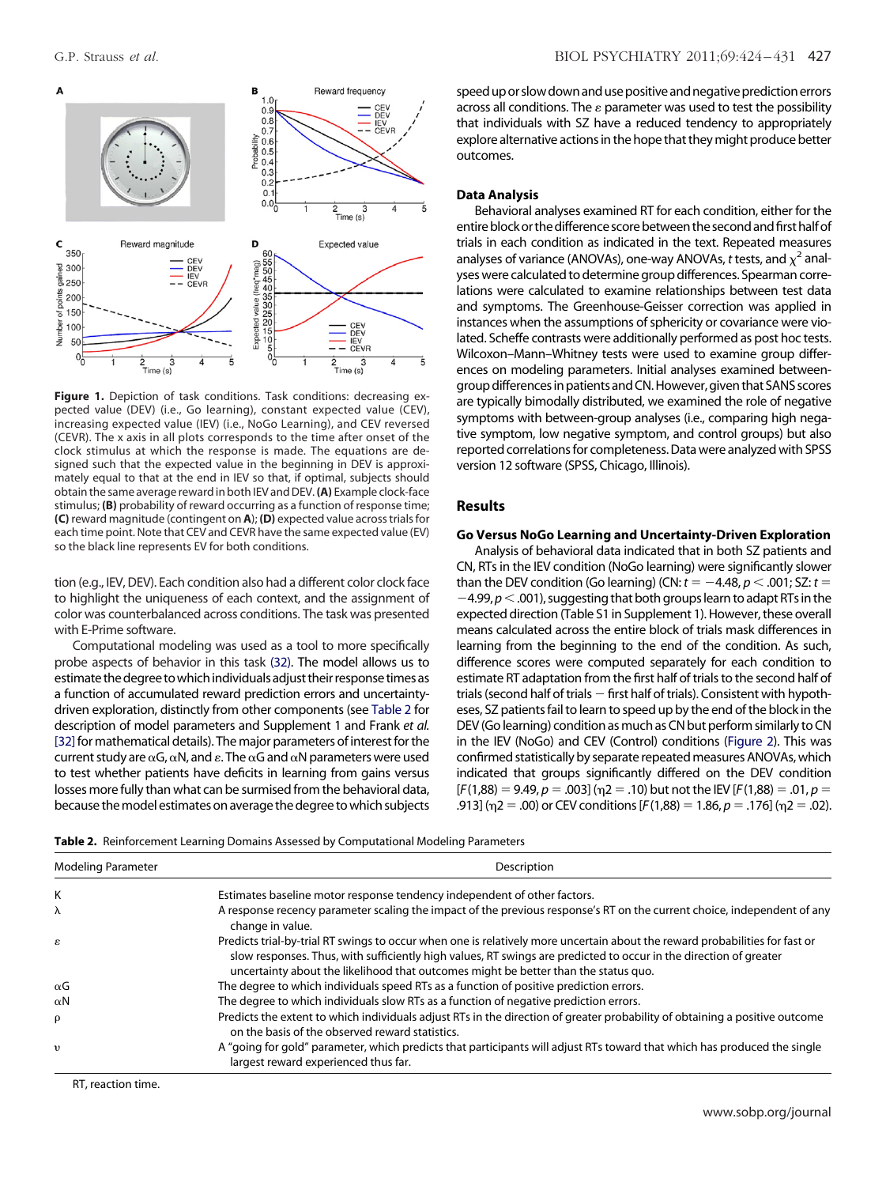<span id="page-3-0"></span>

**Figure 1.** Depiction of task conditions. Task conditions: decreasing expected value (DEV) (i.e., Go learning), constant expected value (CEV), increasing expected value (IEV) (i.e., NoGo Learning), and CEV reversed (CEVR). The x axis in all plots corresponds to the time after onset of the clock stimulus at which the response is made. The equations are designed such that the expected value in the beginning in DEV is approximately equal to that at the end in IEV so that, if optimal, subjects should obtain the same average reward in both IEV and DEV.**(A)** Example clock-face stimulus; **(B)** probability of reward occurring as a function of response time; **(C)** reward magnitude (contingent on **A**); **(D)** expected value across trials for each time point. Note that CEV and CEVR have the same expected value (EV) so the black line represents EV for both conditions.

tion (e.g., IEV, DEV). Each condition also had a different color clock face to highlight the uniqueness of each context, and the assignment of color was counterbalanced across conditions. The task was presented with E-Prime software.

Computational modeling was used as a tool to more specifically probe aspects of behavior in this task [\(32\).](#page-7-0) The model allows us to estimate the degree towhichindividualsadjust their response timesas a function of accumulated reward prediction errors and uncertaintydriven exploration, distinctly from other components (see Table 2 for description of model parameters and Supplement 1 and Frank *et al.* [\[32\]](#page-7-0) for mathematical details). The major parameters of interest for the current study are  $\alpha G$ ,  $\alpha N$ , and  $\varepsilon$ . The  $\alpha G$  and  $\alpha N$  parameters were used to test whether patients have deficits in learning from gains versus losses more fully than what can be surmised from the behavioral data, because themodel estimates on average the degree to which subjects

speed up or slow down and use positive and negative prediction errors across all conditions. The  $\varepsilon$  parameter was used to test the possibility that individuals with SZ have a reduced tendency to appropriately explore alternative actions in the hope that they might produce better outcomes.

# **Data Analysis**

Behavioral analyses examined RT for each condition, either for the entire block or the difference score between the second and first half of trials in each condition as indicated in the text. Repeated measures analyses of variance (ANOVAs), one-way ANOVAs, *t* tests, and  $\chi^2$  analyses were calculated to determine group differences. Spearman correlations were calculated to examine relationships between test data and symptoms. The Greenhouse-Geisser correction was applied in instances when the assumptions of sphericity or covariance were violated. Scheffe contrasts were additionally performed as post hoc tests. Wilcoxon–Mann–Whitney tests were used to examine group differences on modeling parameters. Initial analyses examined betweengroup differences in patients and CN. However, given that SANS scores are typically bimodally distributed, we examined the role of negative symptoms with between-group analyses (i.e., comparing high negative symptom, low negative symptom, and control groups) but also reported correlations for completeness. Data were analyzed with SPSS version 12 software (SPSS, Chicago, Illinois).

#### **Results**

#### **Go Versus NoGo Learning and Uncertainty-Driven Exploration**

Analysis of behavioral data indicated that in both SZ patients and CN, RTs in the IEV condition (NoGo learning) were significantly slower than the DEV condition (Go learning) (CN:  $t = -4.48$ ,  $p < .001$ ; SZ:  $t =$  $-4.99$ ,  $p < 0.001$ ), suggesting that both groups learn to adapt RTs in the expected direction (Table S1 in Supplement 1). However, these overall means calculated across the entire block of trials mask differences in learning from the beginning to the end of the condition. As such, difference scores were computed separately for each condition to estimate RT adaptation from the first half of trials to the second half of trials (second half of trials  $f$  first half of trials). Consistent with hypotheses, SZ patients fail to learn to speed up by the end of the block in the DEV (Go learning) condition as much as CN but perform similarly to CN in the IEV (NoGo) and CEV (Control) conditions [\(Figure 2\)](#page-4-0). This was confirmed statistically by separate repeated measures ANOVAs, which indicated that groups significantly differed on the DEV condition  $[F(1,88) = 9.49, p = .003]$  ( $p = 10$ ) but not the IEV [ $F(1,88) = .01, p =$ .913] ( $\eta$ 2 = .00) or CEV conditions [ $F(1,88) = 1.86$ ,  $p = .176$ ] ( $\eta$ 2 = .02).

| Table 2. Reinforcement Learning Domains Assessed by Computational Modeling Parameters |  |  |  |
|---------------------------------------------------------------------------------------|--|--|--|
|---------------------------------------------------------------------------------------|--|--|--|

| <b>Modeling Parameter</b> | Description                                                                                                                                                                                                                                                                                                                             |  |  |
|---------------------------|-----------------------------------------------------------------------------------------------------------------------------------------------------------------------------------------------------------------------------------------------------------------------------------------------------------------------------------------|--|--|
| Κ                         | Estimates baseline motor response tendency independent of other factors.                                                                                                                                                                                                                                                                |  |  |
| λ                         | A response recency parameter scaling the impact of the previous response's RT on the current choice, independent of any<br>change in value.                                                                                                                                                                                             |  |  |
| ε                         | Predicts trial-by-trial RT swings to occur when one is relatively more uncertain about the reward probabilities for fast or<br>slow responses. Thus, with sufficiently high values, RT swings are predicted to occur in the direction of greater<br>uncertainty about the likelihood that outcomes might be better than the status quo. |  |  |
| $\alpha$ G                | The degree to which individuals speed RTs as a function of positive prediction errors.                                                                                                                                                                                                                                                  |  |  |
| $\alpha$ N                | The degree to which individuals slow RTs as a function of negative prediction errors.                                                                                                                                                                                                                                                   |  |  |
| ρ                         | Predicts the extent to which individuals adjust RTs in the direction of greater probability of obtaining a positive outcome<br>on the basis of the observed reward statistics.                                                                                                                                                          |  |  |
| υ                         | A "going for gold" parameter, which predicts that participants will adjust RTs toward that which has produced the single<br>largest reward experienced thus far.                                                                                                                                                                        |  |  |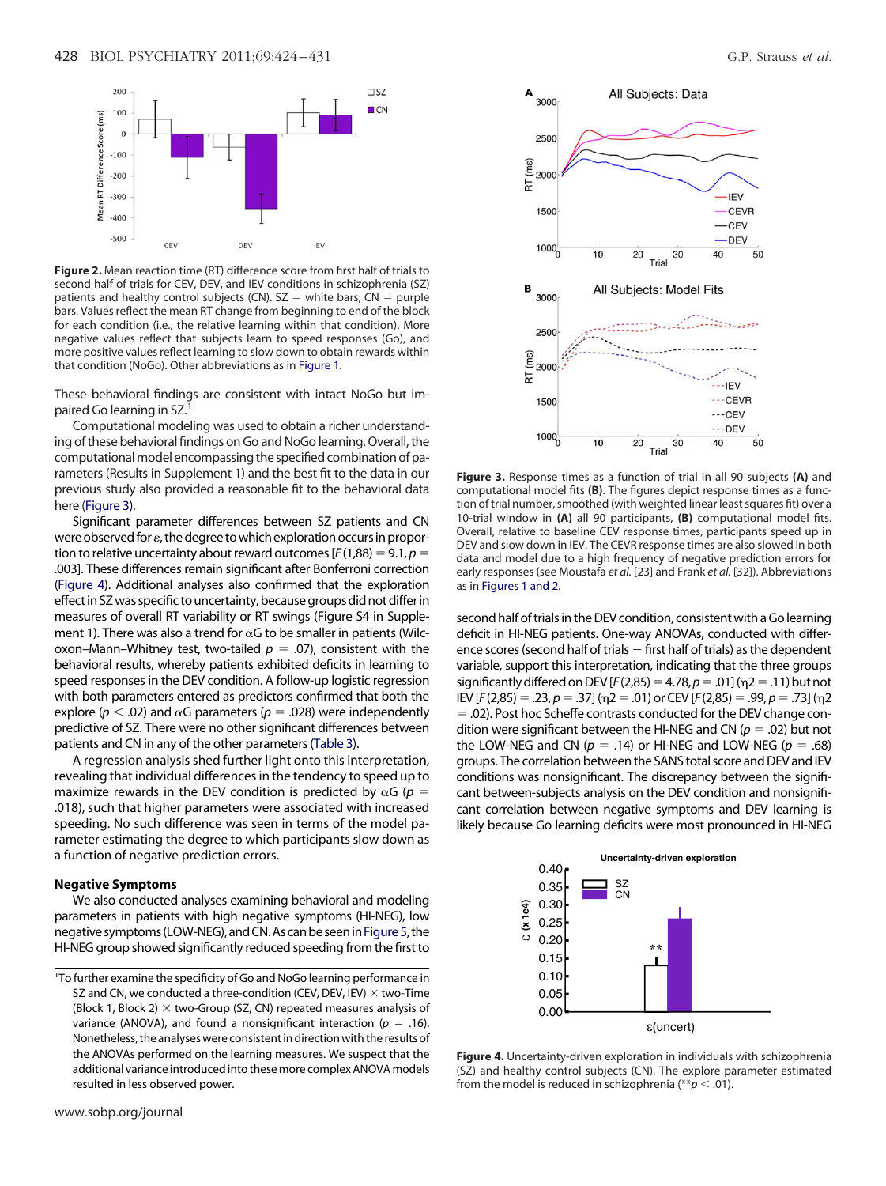<span id="page-4-0"></span>

**Figure 2.** Mean reaction time (RT) difference score from first half of trials to second half of trials for CEV, DEV, and IEV conditions in schizophrenia (SZ) patients and healthy control subjects (CN).  $SZ =$  white bars;  $CN =$  purple bars. Values reflect the mean RT change from beginning to end of the block for each condition (i.e., the relative learning within that condition). More negative values reflect that subjects learn to speed responses (Go), and more positive values reflect learning to slow down to obtain rewards within that condition (NoGo). Other abbreviations as in [Figure 1.](#page-3-0)

These behavioral findings are consistent with intact NoGo but impaired Go learning in SZ.<sup>1</sup>

Computational modeling was used to obtain a richer understanding of these behavioral findings on Go and NoGo learning. Overall, the computationalmodel encompassing the specified combination of parameters (Results in Supplement 1) and the best fit to the data in our previous study also provided a reasonable fit to the behavioral data here (Figure 3).

Significant parameter differences between SZ patients and CN were observed for  $\varepsilon$ , the degree to which exploration occurs in proportion to relative uncertainty about reward outcomes [ $F(1,88) = 9.1$ ,  $p =$ .003]. These differences remain significant after Bonferroni correction (Figure 4). Additional analyses also confirmed that the exploration effect in SZ was specific to uncertainty, because groups did not differ in measures of overall RT variability or RT swings (Figure S4 in Supplement 1). There was also a trend for  $\alpha$ G to be smaller in patients (Wilcoxon–Mann–Whitney test, two-tailed  $p = .07$ ), consistent with the behavioral results, whereby patients exhibited deficits in learning to speed responses in the DEV condition. A follow-up logistic regression with both parameters entered as predictors confirmed that both the explore ( $p < .02$ ) and  $\alpha G$  parameters ( $p = .028$ ) were independently predictive of SZ. There were no other significant differences between patients and CN in any of the other parameters [\(Table 3\)](#page-5-0).

A regression analysis shed further light onto this interpretation, revealing that individual differences in the tendency to speed up to maximize rewards in the DEV condition is predicted by  $\alpha G$  ( $p =$ .018), such that higher parameters were associated with increased speeding. No such difference was seen in terms of the model parameter estimating the degree to which participants slow down as a function of negative prediction errors.

#### **Negative Symptoms**

We also conducted analyses examining behavioral and modeling parameters in patients with high negative symptoms (HI-NEG), low negative symptoms (LOW-NEG), and CN. As can be seen in Figure 5, the HI-NEG group showed significantly reduced speeding from the first to



**Figure 3.** Response times as a function of trial in all 90 subjects **(A)** and computational model fits **(B)**. The figures depict response times as a function of trial number, smoothed (with weighted linear least squares fit) over a 10-trial window in **(A)** all 90 participants, **(B)** computational model fits. Overall, relative to baseline CEV response times, participants speed up in DEV and slow down in IEV. The CEVR response times are also slowed in both data and model due to a high frequency of negative prediction errors for early responses (see Moustafa *et al.* [23] and Frank *et al.* [32]). Abbreviations as in [Figures 1 and 2.](#page-3-0)

second half of trials in the DEV condition, consistent with a Go learning deficit in HI-NEG patients. One-way ANOVAs, conducted with difference scores (second half of trials  $-$  first half of trials) as the dependent variable, support this interpretation, indicating that the three groups significantly differed on DEV [*F*(2,85) = 4.78, *p* = .01] ( $p$ 2 = .11) but not lEV [*F*(2,85) = .23, *p* = .37] (η2 = .01) or CEV [*F*(2,85) = .99, *p* = .73] (η2 = .02). Post hoc Scheffe contrasts conducted for the DEV change condition were significant between the HI-NEG and CN ( $p = .02$ ) but not the LOW-NEG and CN ( $p = .14$ ) or HI-NEG and LOW-NEG ( $p = .68$ ) groups. The correlation between the SANS total score and DEV and IEV conditions was nonsignificant. The discrepancy between the significant between-subjects analysis on the DEV condition and nonsignificant correlation between negative symptoms and DEV learning is likely because Go learning deficits were most pronounced in HI-NEG



**Figure 4.** Uncertainty-driven exploration in individuals with schizophrenia (SZ) and healthy control subjects (CN). The explore parameter estimated from the model is reduced in schizophrenia ( $*p < .01$ ).

<sup>&</sup>lt;sup>1</sup>To further examine the specificity of Go and NoGo learning performance in SZ and CN, we conducted a three-condition (CEV, DEV, IEV)  $\times$  two-Time (Block 1, Block 2)  $\times$  two-Group (SZ, CN) repeated measures analysis of variance (ANOVA), and found a nonsignificant interaction ( $p = .16$ ). Nonetheless, the analyses were consistent in direction with the results of the ANOVAs performed on the learning measures. We suspect that the additional variance introduced into these more complex ANOVA models resulted in less observed power.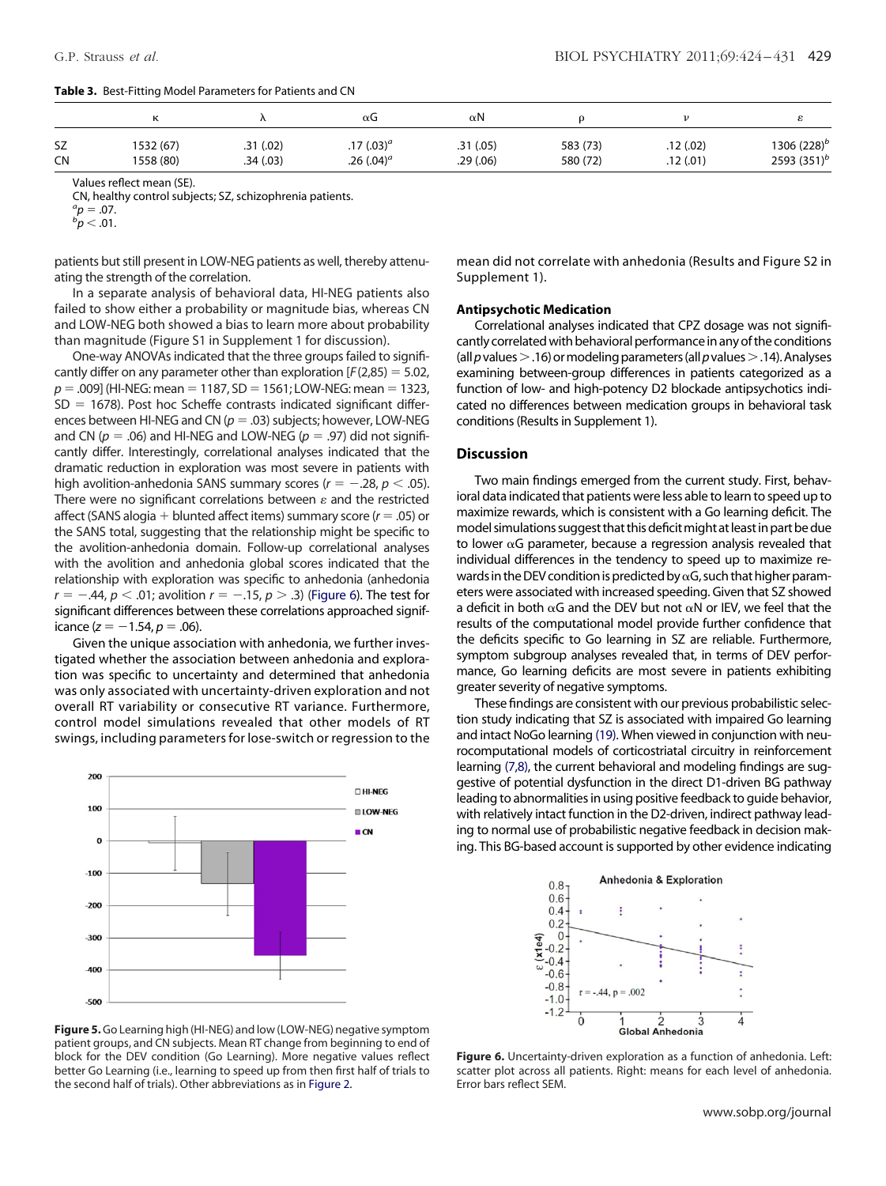## <span id="page-5-0"></span>**Table 3.** Best-Fitting Model Parameters for Patients and CN

|    | $\overline{\phantom{a}}$ | $\ddot{\phantom{a}}$ | αG            | $\alpha$ N |          |          | c                       |
|----|--------------------------|----------------------|---------------|------------|----------|----------|-------------------------|
| SZ | 1532 (67)                | .31(.02)             | $17 (03)^a$   | .31(.05)   | 583 (73) | .12(.02) | 1306 (228) <sup>b</sup> |
| CN | 1558 (80)                | .34(.03)             | .26 $(.04)^a$ | .29(.06)   | 580 (72) | .12(.01) | 2593 (351) <sup>b</sup> |

Values reflect mean (SE).

CN, healthy control subjects; SZ, schizophrenia patients.

 $p^{b}$ p < .01.

patients but still present in LOW-NEG patients as well, thereby attenuating the strength of the correlation.

In a separate analysis of behavioral data, HI-NEG patients also failed to show either a probability or magnitude bias, whereas CN and LOW-NEG both showed a bias to learn more about probability than magnitude (Figure S1 in Supplement 1 for discussion).

One-way ANOVAs indicated that the three groups failed to significantly differ on any parameter other than exploration  $[F(2,85) = 5.02,$ *p* = .009] (HI-NEG: mean = 1187, SD = 1561; LOW-NEG: mean = 1323,  $SD = 1678$ ). Post hoc Scheffe contrasts indicated significant differences between HI-NEG and CN ( $p = .03$ ) subjects; however, LOW-NEG and CN ( $p =$  .06) and HI-NEG and LOW-NEG ( $p =$  .97) did not significantly differ. Interestingly, correlational analyses indicated that the dramatic reduction in exploration was most severe in patients with high avolition-anhedonia SANS summary scores ( $r=-.$ 28,  $p<.$ 05). There were no significant correlations between  $\varepsilon$  and the restricted affect (SANS alogia + blunted affect items) summary score (*r =* .05) or the SANS total, suggesting that the relationship might be specific to the avolition-anhedonia domain. Follow-up correlational analyses with the avolition and anhedonia global scores indicated that the relationship with exploration was specific to anhedonia (anhedonia  $r=-.44$ ,  $p<.01$ ; avolition  $r=-.15$ ,  $p>.3)$  (Figure 6). The test for significant differences between these correlations approached significance ( $z = -1.54$ ,  $p = .06$ ).

Given the unique association with anhedonia, we further investigated whether the association between anhedonia and exploration was specific to uncertainty and determined that anhedonia was only associated with uncertainty-driven exploration and not overall RT variability or consecutive RT variance. Furthermore, control model simulations revealed that other models of RT swings, including parameters for lose-switch or regression to the



**Figure 5.**Go Learning high (HI-NEG) and low (LOW-NEG) negative symptom patient groups, and CN subjects. Mean RT change from beginning to end of block for the DEV condition (Go Learning). More negative values reflect better Go Learning (i.e., learning to speed up from then first half of trials to the second half of trials). Other abbreviations as in [Figure 2.](#page-4-0)

mean did not correlate with anhedonia (Results and Figure S2 in Supplement 1).

# **Antipsychotic Medication**

Correlational analyses indicated that CPZ dosage was not significantly correlated with behavioral performance in any of the conditions (all*p*values .16) ormodelingparameters(all*p*values .14).Analyses examining between-group differences in patients categorized as a function of low- and high-potency D2 blockade antipsychotics indicated no differences between medication groups in behavioral task conditions (Results in Supplement 1).

# **Discussion**

Two main findings emerged from the current study. First, behavioral data indicated that patients were less able to learn to speed up to maximize rewards, which is consistent with a Go learning deficit. The model simulations suggest that this deficit might at least in part be due to lower  $\alpha$ G parameter, because a regression analysis revealed that individual differences in the tendency to speed up to maximize rewards in the DEV condition is predicted by  $\alpha$ G, such that higher parameters were associated with increased speeding. Given that SZ showed a deficit in both  $\alpha$ G and the DEV but not  $\alpha$ N or IEV, we feel that the results of the computational model provide further confidence that the deficits specific to Go learning in SZ are reliable. Furthermore, symptom subgroup analyses revealed that, in terms of DEV performance, Go learning deficits are most severe in patients exhibiting greater severity of negative symptoms.

These findings are consistent with our previous probabilistic selection study indicating that SZ is associated with impaired Go learning and intact NoGo learning [\(19\).](#page-7-0) When viewed in conjunction with neurocomputational models of corticostriatal circuitry in reinforcement learning [\(7,8\),](#page-7-0) the current behavioral and modeling findings are suggestive of potential dysfunction in the direct D1-driven BG pathway leading to abnormalities in using positive feedback to guide behavior, with relatively intact function in the D2-driven, indirect pathway leading to normal use of probabilistic negative feedback in decision making. This BG-based account is supported by other evidence indicating



**Figure 6.** Uncertainty-driven exploration as a function of anhedonia. Left: scatter plot across all patients. Right: means for each level of anhedonia. Error bars reflect SEM.

 ${}^{a}p = .07.$ <sup>*b*</sup>n  $\leq 01$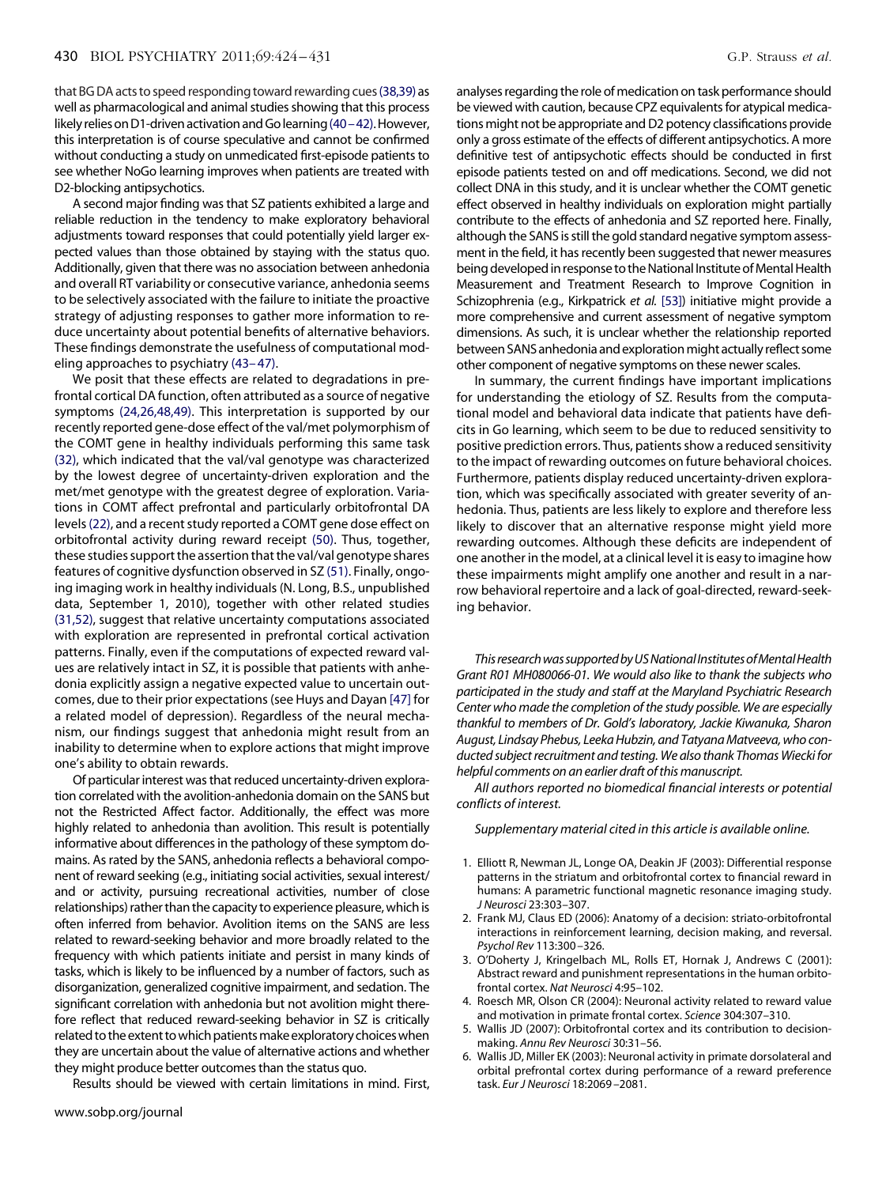<span id="page-6-0"></span>that BG DA acts to speed responding toward rewarding cue[s\(38,39\)](#page-7-0) as well as pharmacological and animal studies showing that this process likely relies on D1-driven activation and Go learning (40 – 42). However, this interpretation is of course speculative and cannot be confirmed without conducting a study on unmedicated first-episode patients to see whether NoGo learning improves when patients are treated with D2-blocking antipsychotics.

A second major finding was that SZ patients exhibited a large and reliable reduction in the tendency to make exploratory behavioral adjustments toward responses that could potentially yield larger expected values than those obtained by staying with the status quo. Additionally, given that there was no association between anhedonia and overall RT variability or consecutive variance, anhedonia seems to be selectively associated with the failure to initiate the proactive strategy of adjusting responses to gather more information to reduce uncertainty about potential benefits of alternative behaviors. These findings demonstrate the usefulness of computational modeling approaches to psychiatry [\(43– 47\).](#page-7-0)

We posit that these effects are related to degradations in prefrontal cortical DA function, often attributed as a source of negative symptoms [\(24,26,48,49\).](#page-7-0) This interpretation is supported by our recently reported gene-dose effect of the val/met polymorphism of the COMT gene in healthy individuals performing this same task [\(32\),](#page-7-0) which indicated that the val/val genotype was characterized by the lowest degree of uncertainty-driven exploration and the met/met genotype with the greatest degree of exploration. Variations in COMT affect prefrontal and particularly orbitofrontal DA levels [\(22\),](#page-7-0) and a recent study reported a COMT gene dose effect on orbitofrontal activity during reward receipt [\(50\).](#page-7-0) Thus, together, these studies support the assertion that the val/val genotype shares features of cognitive dysfunction observed in SZ [\(51\).](#page-7-0) Finally, ongoing imaging work in healthy individuals (N. Long, B.S., unpublished data, September 1, 2010), together with other related studies [\(31,52\),](#page-7-0) suggest that relative uncertainty computations associated with exploration are represented in prefrontal cortical activation patterns. Finally, even if the computations of expected reward values are relatively intact in SZ, it is possible that patients with anhedonia explicitly assign a negative expected value to uncertain outcomes, due to their prior expectations (see Huys and Dayan [\[47\]](#page-7-0) for a related model of depression). Regardless of the neural mechanism, our findings suggest that anhedonia might result from an inability to determine when to explore actions that might improve one's ability to obtain rewards.

Of particular interest was that reduced uncertainty-driven exploration correlated with the avolition-anhedonia domain on the SANS but not the Restricted Affect factor. Additionally, the effect was more highly related to anhedonia than avolition. This result is potentially informative about differences in the pathology of these symptom domains. As rated by the SANS, anhedonia reflects a behavioral component of reward seeking (e.g., initiating social activities, sexual interest/ and or activity, pursuing recreational activities, number of close relationships) rather than the capacity to experience pleasure, which is often inferred from behavior. Avolition items on the SANS are less related to reward-seeking behavior and more broadly related to the frequency with which patients initiate and persist in many kinds of tasks, which is likely to be influenced by a number of factors, such as disorganization, generalized cognitive impairment, and sedation. The significant correlation with anhedonia but not avolition might therefore reflect that reduced reward-seeking behavior in SZ is critically related to the extent to which patients make exploratory choices when they are uncertain about the value of alternative actions and whether they might produce better outcomes than the status quo.

Results should be viewed with certain limitations in mind. First,

analyses regarding the role of medication on task performance should be viewed with caution, because CPZ equivalents for atypical medications might not be appropriate and D2 potency classifications provide only a gross estimate of the effects of different antipsychotics. A more definitive test of antipsychotic effects should be conducted in first episode patients tested on and off medications. Second, we did not collect DNA in this study, and it is unclear whether the COMT genetic effect observed in healthy individuals on exploration might partially contribute to the effects of anhedonia and SZ reported here. Finally, although the SANS is still the gold standard negative symptom assessment in the field, it has recently been suggested that newer measures being developed in response to the National Institute of Mental Health Measurement and Treatment Research to Improve Cognition in Schizophrenia (e.g., Kirkpatrick *et al.* [\[53\]\)](#page-7-0) initiative might provide a more comprehensive and current assessment of negative symptom dimensions. As such, it is unclear whether the relationship reported between SANS anhedonia and exploration might actually reflect some other component of negative symptoms on these newer scales.

In summary, the current findings have important implications for understanding the etiology of SZ. Results from the computational model and behavioral data indicate that patients have deficits in Go learning, which seem to be due to reduced sensitivity to positive prediction errors. Thus, patients show a reduced sensitivity to the impact of rewarding outcomes on future behavioral choices. Furthermore, patients display reduced uncertainty-driven exploration, which was specifically associated with greater severity of anhedonia. Thus, patients are less likely to explore and therefore less likely to discover that an alternative response might yield more rewarding outcomes. Although these deficits are independent of one another in the model, at a clinical level it is easy to imagine how these impairments might amplify one another and result in a narrow behavioral repertoire and a lack of goal-directed, reward-seeking behavior.

*This researchwas supportedbyUSNationalInstitutesofMentalHealth Grant R01 MH080066-01. We would also like to thank the subjects who participated in the study and staff at the Maryland Psychiatric Research Center who made the completion of the study possible. We are especially thankful to members of Dr. Gold's laboratory, Jackie Kiwanuka, Sharon August, Lindsay Phebus, Leeka Hubzin, and Tatyana Matveeva, who conducted subject recruitment and testing. We also thank Thomas Wiecki for helpful comments on an earlier draft of this manuscript.*

*All authors reported no biomedical financial interests or potential conflicts of interest.*

*Supplementary material cited in this article is available online.*

- 1. Elliott R, Newman JL, Longe OA, Deakin JF (2003): Differential response patterns in the striatum and orbitofrontal cortex to financial reward in humans: A parametric functional magnetic resonance imaging study. *J Neurosci* 23:303–307.
- 2. Frank MJ, Claus ED (2006): Anatomy of a decision: striato-orbitofrontal interactions in reinforcement learning, decision making, and reversal. *Psychol Rev* 113:300 –326.
- 3. O'Doherty J, Kringelbach ML, Rolls ET, Hornak J, Andrews C (2001): Abstract reward and punishment representations in the human orbitofrontal cortex. *Nat Neurosci* 4:95–102.
- 4. Roesch MR, Olson CR (2004): Neuronal activity related to reward value and motivation in primate frontal cortex. *Science* 304:307–310.
- 5. Wallis JD (2007): Orbitofrontal cortex and its contribution to decisionmaking. *Annu Rev Neurosci* 30:31–56.
- 6. Wallis JD, Miller EK (2003): Neuronal activity in primate dorsolateral and orbital prefrontal cortex during performance of a reward preference task. *Eur J Neurosci* 18:2069 –2081.